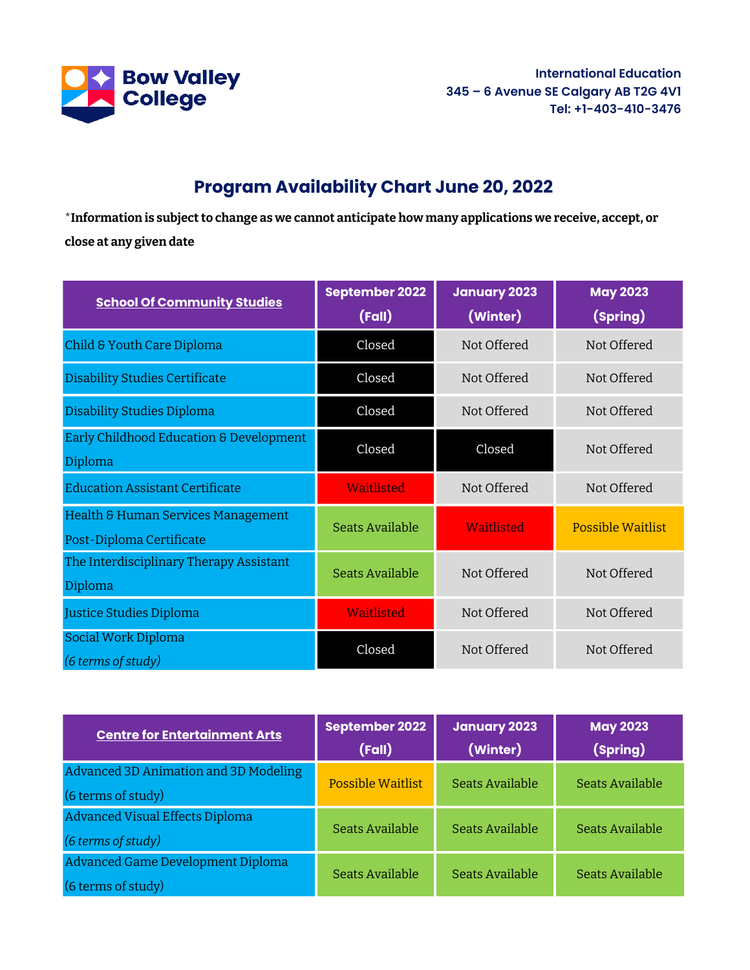

**International Education 345 – 6 Avenue SE Calgary AB T2G 4V1 Tel: +1-403-410-3476**

## **Program Availability Chart June 20, 2022**

\***Information is subject to change as we cannot anticipate how many applications we receive, accept, or close at any given date**

| <b>School Of Community Studies</b>                             | <b>September 2022</b><br>(Fall) | <b>January 2023</b><br>(Winter) | <b>May 2023</b><br>(Spring) |
|----------------------------------------------------------------|---------------------------------|---------------------------------|-----------------------------|
| Child & Youth Care Diploma                                     | Closed                          | Not Offered                     | Not Offered                 |
| <b>Disability Studies Certificate</b>                          | Closed                          | Not Offered                     | Not Offered                 |
| Disability Studies Diploma                                     | Closed                          | Not Offered                     | Not Offered                 |
| Early Childhood Education & Development<br>Diploma             | Closed                          | Closed                          | Not Offered                 |
| <b>Education Assistant Certificate</b>                         | Waitlisted                      | Not Offered                     | Not Offered                 |
| Health & Human Services Management<br>Post-Diploma Certificate | <b>Seats Available</b>          | Waitlisted                      | <b>Possible Waitlist</b>    |
| The Interdisciplinary Therapy Assistant<br>Diploma             | <b>Seats Available</b>          | Not Offered                     | Not Offered                 |
| Justice Studies Diploma                                        | Waitlisted                      | Not Offered                     | Not Offered                 |
| Social Work Diploma<br>(6 terms of study)                      | Closed                          | Not Offered                     | Not Offered                 |

| <b>Centre for Entertainment Arts</b>   | September 2022           | <b>January 2023</b> | <b>May 2023</b> |
|----------------------------------------|--------------------------|---------------------|-----------------|
|                                        | (Fall)                   | (Winter)            | (Spring)        |
| Advanced 3D Animation and 3D Modeling  | <b>Possible Waitlist</b> | Seats Available     | Seats Available |
| (6 terms of study)                     |                          |                     |                 |
| <b>Advanced Visual Effects Diploma</b> | Seats Available          | Seats Available     | Seats Available |
| (6 terms of study)                     |                          |                     |                 |
| Advanced Game Development Diploma      | Seats Available          | Seats Available     | Seats Available |
| (6 terms of study)                     |                          |                     |                 |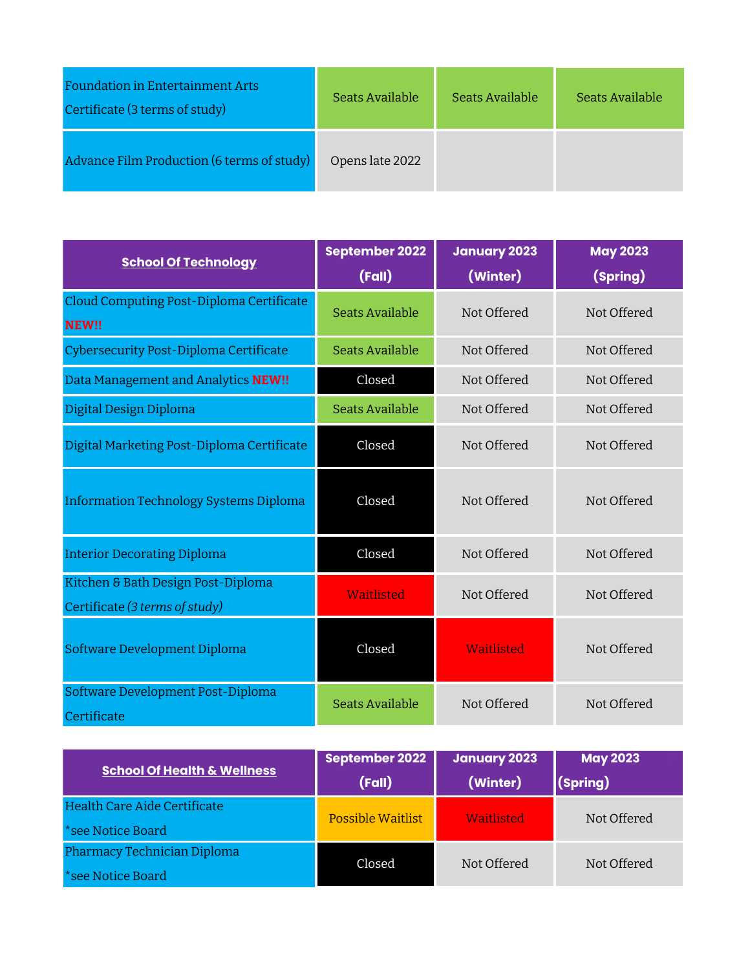| <b>Foundation in Entertainment Arts</b><br>Certificate (3 terms of study) | Seats Available | Seats Available | Seats Available |
|---------------------------------------------------------------------------|-----------------|-----------------|-----------------|
| Advance Film Production (6 terms of study)                                | Opens late 2022 |                 |                 |

| <b>School Of Technology</b>                                          | <b>September 2022</b>  | January 2023 | <b>May 2023</b> |
|----------------------------------------------------------------------|------------------------|--------------|-----------------|
|                                                                      | (Fall)                 | (Winter)     | (Spring)        |
| Cloud Computing Post-Diploma Certificate<br>NEW!!                    | Seats Available        | Not Offered  | Not Offered     |
| Cybersecurity Post-Diploma Certificate                               | <b>Seats Available</b> | Not Offered  | Not Offered     |
| Data Management and Analytics NEW!!                                  | Closed                 | Not Offered  | Not Offered     |
| Digital Design Diploma                                               | Seats Available        | Not Offered  | Not Offered     |
| Digital Marketing Post-Diploma Certificate                           | Closed                 | Not Offered  | Not Offered     |
| <b>Information Technology Systems Diploma</b>                        | Closed                 | Not Offered  | Not Offered     |
| <b>Interior Decorating Diploma</b>                                   | Closed                 | Not Offered  | Not Offered     |
| Kitchen & Bath Design Post-Diploma<br>Certificate (3 terms of study) | <b>Waitlisted</b>      | Not Offered  | Not Offered     |
| Software Development Diploma                                         | Closed                 | Waitlisted   | Not Offered     |
| Software Development Post-Diploma<br>Certificate                     | <b>Seats Available</b> | Not Offered  | Not Offered     |

|                                        | September 2022           | <b>January 2023</b> | <b>May 2023</b> |
|----------------------------------------|--------------------------|---------------------|-----------------|
| <b>School Of Health &amp; Wellness</b> | (Fall)                   | (Winter)            | $ $ (Spring)    |
| Health Care Aide Certificate           | <b>Possible Waitlist</b> | Waitlisted          | Not Offered     |
| *see Notice Board                      |                          |                     |                 |
| Pharmacy Technician Diploma            | Closed                   | Not Offered         | Not Offered     |
| *see Notice Board                      |                          |                     |                 |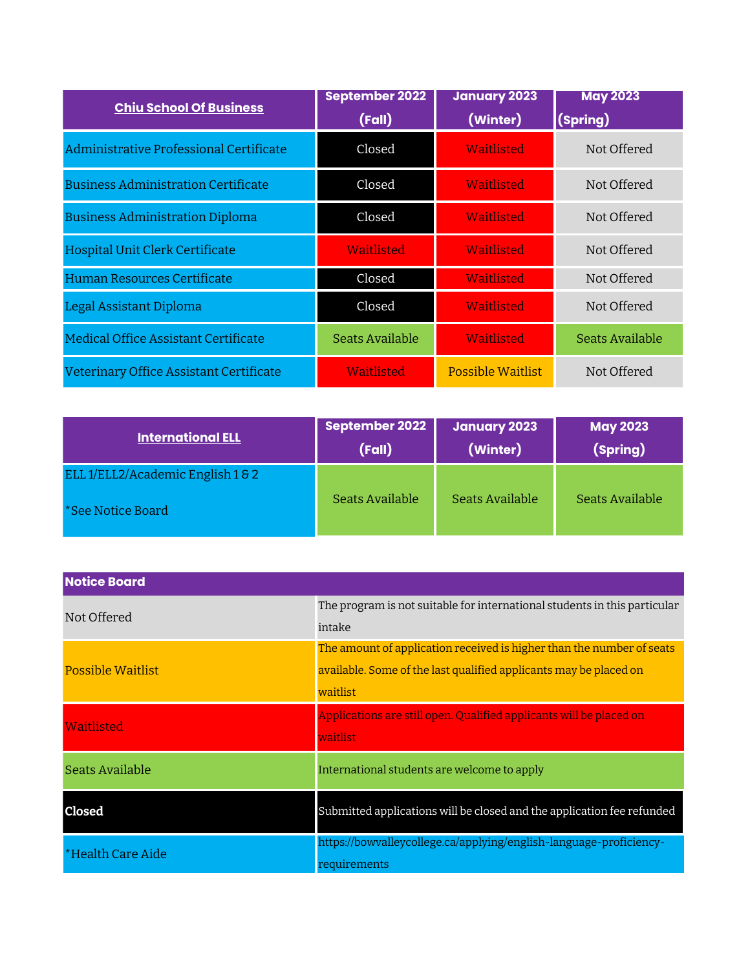| <b>Chiu School Of Business</b>             | <b>September 2022</b><br>(Fall) | <b>January 2023</b><br>(Winter) | <b>May 2023</b><br>(Spring) |
|--------------------------------------------|---------------------------------|---------------------------------|-----------------------------|
| Administrative Professional Certificate    | Closed                          | Waitlisted                      | Not Offered                 |
| <b>Business Administration Certificate</b> | Closed                          | Waitlisted                      | Not Offered                 |
| <b>Business Administration Diploma</b>     | Closed                          | Waitlisted                      | Not Offered                 |
| Hospital Unit Clerk Certificate            | Waitlisted                      | Waitlisted                      | Not Offered                 |
| Human Resources Certificate                | Closed                          | Waitlisted                      | Not Offered                 |
| Legal Assistant Diploma                    | Closed                          | Waitlisted                      | Not Offered                 |
| Medical Office Assistant Certificate       | Seats Available                 | Waitlisted                      | Seats Available             |
| Veterinary Office Assistant Certificate    | Waitlisted                      | Possible Waitlist               | Not Offered                 |

| <b>International ELL</b>          | September 2022<br>(Fall) | <b>January 2023</b><br>(Winter) | <b>May 2023</b><br>(Spring) |
|-----------------------------------|--------------------------|---------------------------------|-----------------------------|
| ELL 1/ELL2/Academic English 1 & 2 |                          |                                 |                             |
| *See Notice Board                 | Seats Available          | Seats Available                 | Seats Available             |

| <b>Notice Board</b>      |                                                                           |
|--------------------------|---------------------------------------------------------------------------|
| Not Offered              | The program is not suitable for international students in this particular |
|                          | intake                                                                    |
|                          | The amount of application received is higher than the number of seats     |
| <b>Possible Waitlist</b> | available. Some of the last qualified applicants may be placed on         |
|                          | waitlist                                                                  |
| Waitlisted               | Applications are still open. Qualified applicants will be placed on       |
|                          | waitlist                                                                  |
| Seats Available          | International students are welcome to apply                               |
|                          |                                                                           |
| Closed                   | Submitted applications will be closed and the application fee refunded    |
| *Health Care Aide        | https://bowvalleycollege.ca/applying/english-language-proficiency-        |
|                          | requirements                                                              |